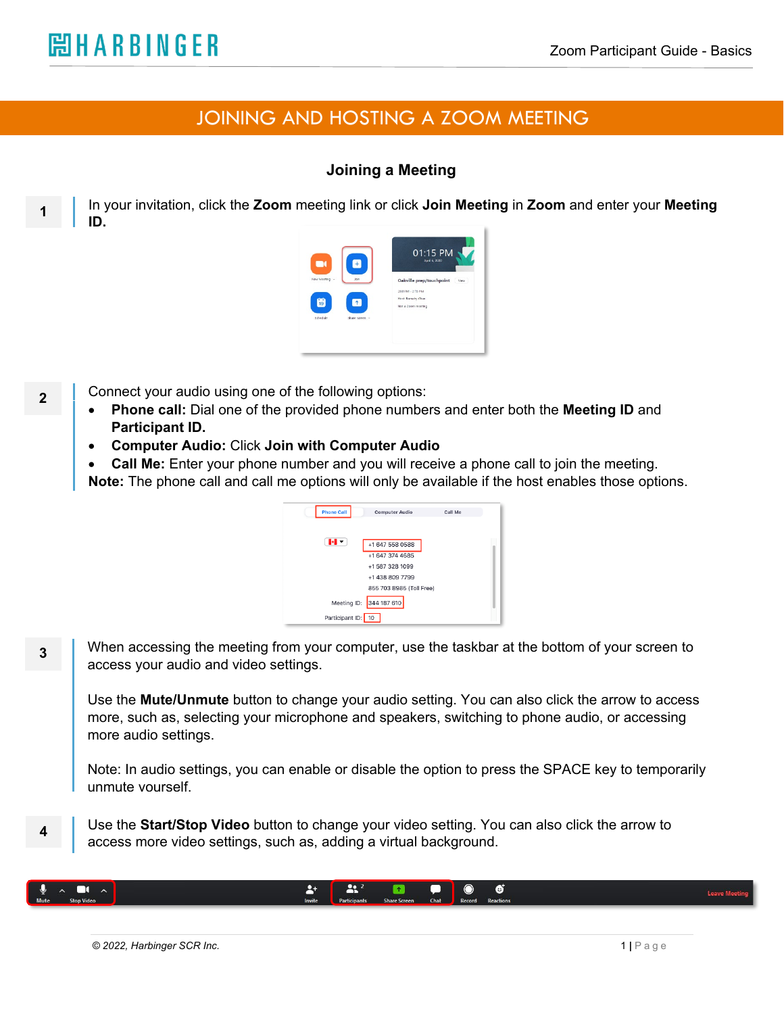**2**

**1**

**3**

**4**

## JOINING AND HOSTING A ZOOM MEETING

## **Joining a Meeting**

In your invitation, click the **Zoom** meeting link or click **Join Meeting** in **Zoom** and enter your **Meeting ID.**



Connect your audio using one of the following options:

- **Phone call:** Dial one of the provided phone numbers and enter both the **Meeting ID** and **Participant ID.**
- **Computer Audio:** Click **Join with Computer Audio**
- **Call Me:** Enter your phone number and you will receive a phone call to join the meeting.
- **Note:** The phone call and call me options will only be available if the host enables those options.

| <b>Phone Call</b>  | <b>Computer Audio</b>              | Call Me |  |
|--------------------|------------------------------------|---------|--|
| H ×                | +1 647 558 0588                    |         |  |
|                    | +1 647 374 4685                    |         |  |
|                    | +1 587 328 1099<br>+1 438 809 7799 |         |  |
|                    | 855 703 8985 (Toll Free)           |         |  |
| Meeting ID:        | 344 187 610                        |         |  |
| Participant ID: 10 |                                    |         |  |

When accessing the meeting from your computer, use the taskbar at the bottom of your screen to access your audio and video settings.

Use the **Mute/Unmute** button to change your audio setting. You can also click the arrow to access more, such as, selecting your microphone and speakers, switching to phone audio, or accessing more audio settings.

Note: In audio settings, you can enable or disable the option to press the SPACE key to temporarily unmute yourself.

Use the **Start/Stop Video** button to change your video setting. You can also click the arrow to access more video settings, such as, adding a virtual background.